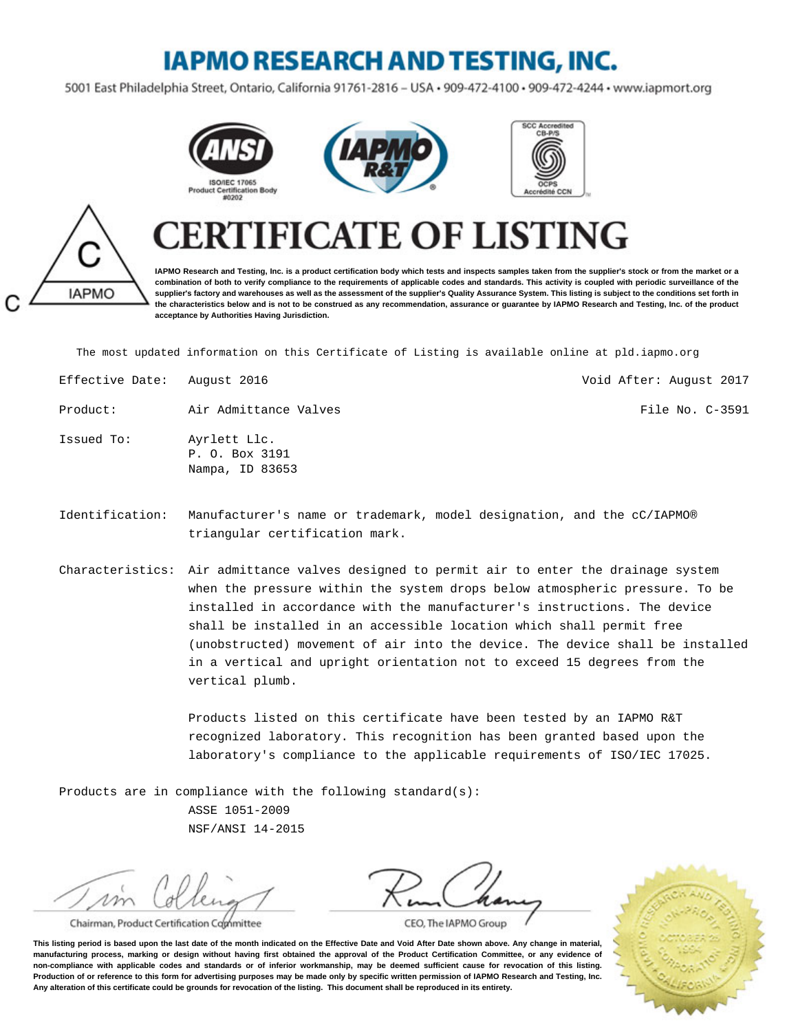## **IAPMO RESEARCH AND TESTING, INC.**

5001 East Philadelphia Street, Ontario, California 91761-2816 - USA · 909-472-4100 · 909-472-4244 · www.iapmort.org







# **IAPMO**

## **CATE OF LISTING**

**IAPMO Research and Testing, Inc. is a product certification body which tests and inspects samples taken from the supplier's stock or from the market or a combination of both to verify compliance to the requirements of applicable codes and standards. This activity is coupled with periodic surveillance of the supplier's factory and warehouses as well as the assessment of the supplier's Quality Assurance System. This listing is subject to the conditions set forth in the characteristics below and is not to be construed as any recommendation, assurance or guarantee by IAPMO Research and Testing, Inc. of the product acceptance by Authorities Having Jurisdiction.**

The most updated information on this Certificate of Listing is available online at pld.iapmo.org

| Effective Date: | August 2016                                       | Void After: August 2017 |
|-----------------|---------------------------------------------------|-------------------------|
| Product:        | Air Admittance Valves                             | File No. C-3591         |
| Issued To:      | Ayrlett Llc.<br>P. O. Box 3191<br>Nampa, ID 83653 |                         |

- Identification: Manufacturer's name or trademark, model designation, and the cC/IAPMO® triangular certification mark.
- Characteristics: Air admittance valves designed to permit air to enter the drainage system when the pressure within the system drops below atmospheric pressure. To be installed in accordance with the manufacturer's instructions. The device shall be installed in an accessible location which shall permit free (unobstructed) movement of air into the device. The device shall be installed in a vertical and upright orientation not to exceed 15 degrees from the vertical plumb.

Products listed on this certificate have been tested by an IAPMO R&T recognized laboratory. This recognition has been granted based upon the laboratory's compliance to the applicable requirements of ISO/IEC 17025.

Products are in compliance with the following standard(s): ASSE 1051-2009 NSF/ANSI 14-2015

 $\nu \nu$ 

Chairman, Product Certification Committee



CEO, The IAPMO Group

**This listing period is based upon the last date of the month indicated on the Effective Date and Void After Date shown above. Any change in material, manufacturing process, marking or design without having first obtained the approval of the Product Certification Committee, or any evidence of non-compliance with applicable codes and standards or of inferior workmanship, may be deemed sufficient cause for revocation of this listing. Production of or reference to this form for advertising purposes may be made only by specific written permission of IAPMO Research and Testing, Inc. Any alteration of this certificate could be grounds for revocation of the listing. This document shall be reproduced in its entirety.**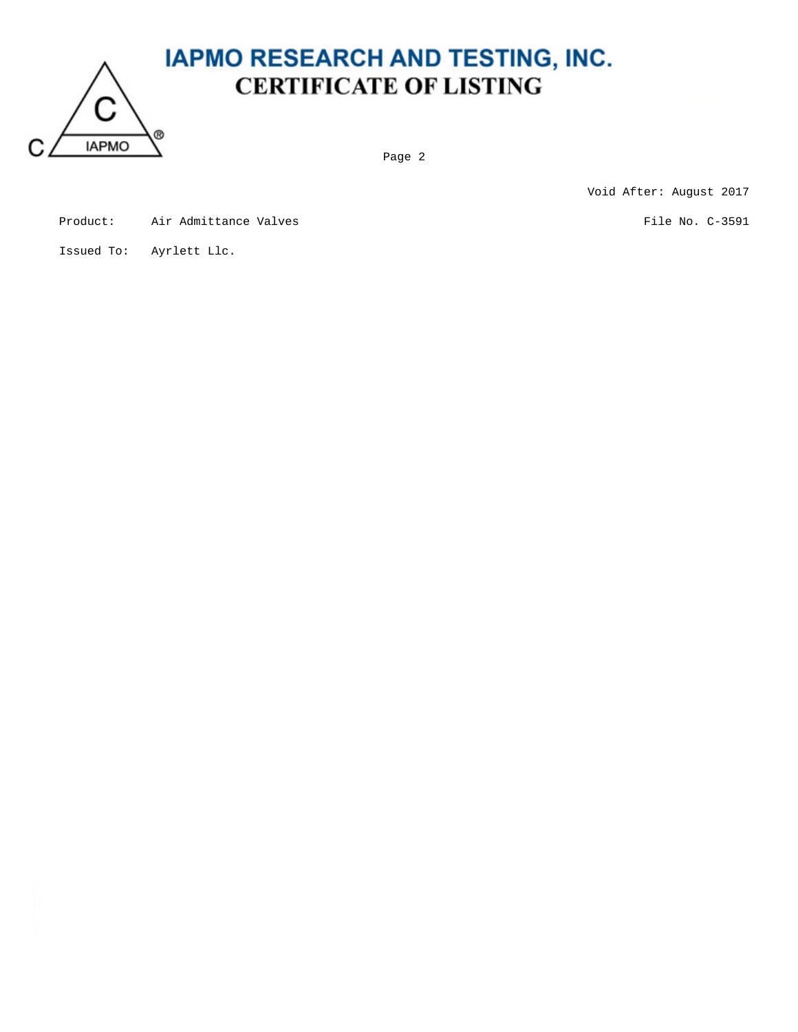

### **IAPMO RESEARCH AND TESTING, INC. CERTIFICATE OF LISTING**

Page 2

Void After: August 2017

| Product: | Air Admittance Valves |  |
|----------|-----------------------|--|
|          |                       |  |

s File No. C-3591

Issued To: Ayrlett Llc.